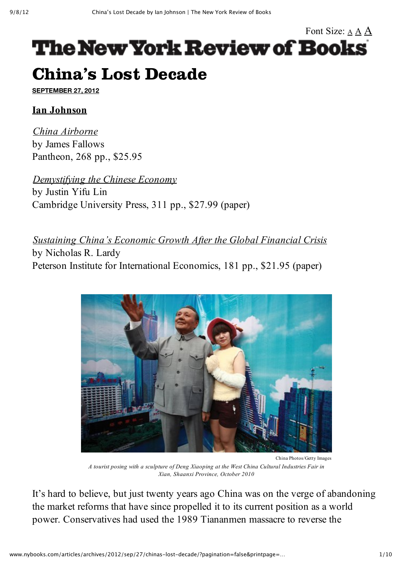# Font Size: A A A **The New York Review of Books** China's Lost Decade

**SEPTEMBER 27, 2012**

#### **Ian Johnson**

*China Airborne* by James Fallows Pantheon, 268 pp., \$25.95

*Demystifying the Chinese Economy*

by Justin Yifu Lin Cambridge University Press, 311 pp., \$27.99 (paper)

*Sustaining China's Economic Growth After the Global Financial Crisis* by Nicholas R. Lardy Peterson Institute for International Economics, 181 pp., \$21.95 (paper)



*A tourist posing with a sculpture of Deng Xiaoping at the West China Cultural Industries Fair in Xian, Shaanxi Province, October 2010*

It's hard to believe, but just twenty years ago China was on the verge of abandoning the market reforms that have since propelled it to its current position as a world power. Conservatives had used the 1989 Tiananmen massacre to reverse the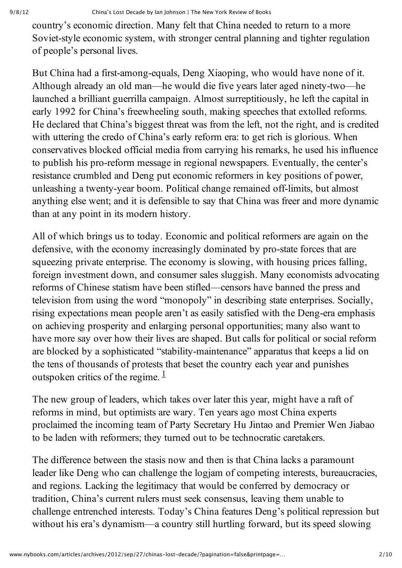country's economic direction. Many felt that China needed to return to a more Soviet-style economic system, with stronger central planning and tighter regulation of people's personal lives.

But China had a first-among-equals, Deng Xiaoping, who would have none of it. Although already an old man—he would die five years later aged ninety-two—he launched a brilliant guerrilla campaign. Almost surreptitiously, he left the capital in early 1992 for China's freewheeling south, making speeches that extolled reforms. He declared that China's biggest threat was from the left, not the right, and is credited with uttering the credo of China's early reform era: to get rich is glorious. When conservatives blocked official media from carrying his remarks, he used his influence to publish his pro-reform message in regional newspapers. Eventually, the center's resistance crumbled and Deng put economic reformers in key positions of power, unleashing a twenty-year boom. Political change remained off-limits, but almost anything else went; and it is defensible to say that China was freer and more dynamic than at any point in its modern history.

All of which brings us to today. Economic and political reformers are again on the defensive, with the economy increasingly dominated by pro-state forces that are squeezing private enterprise. The economy is slowing, with housing prices falling, foreign investment down, and consumer sales sluggish. Many economists advocating reforms of Chinese statism have been stifled—censors have banned the press and television from using the word "monopoly" in describing state enterprises. Socially, rising expectations mean people aren't as easily satisfied with the Deng-era emphasis on achieving prosperity and enlarging personal opportunities; many also want to have more say over how their lives are shaped. But calls for political or social reform are blocked by a sophisticated "stability-maintenance" apparatus that keeps a lid on the tens of thousands of protests that beset the country each year and punishes outspoken critics of the regime.  $\frac{1}{1}$ 

The new group of leaders, which takes over later this year, might have a raft of reforms in mind, but optimists are wary. Ten years ago most China experts proclaimed the incoming team of Party Secretary Hu Jintao and Premier Wen Jiabao to be laden with reformers; they turned out to be technocratic caretakers.

The difference between the stasis now and then is that China lacks a paramount leader like Deng who can challenge the logjam of competing interests, bureaucracies, and regions. Lacking the legitimacy that would be conferred by democracy or tradition, China's current rulers must seek consensus, leaving them unable to challenge entrenched interests. Today's China features Deng's political repression but without his era's dynamism—a country still hurtling forward, but its speed slowing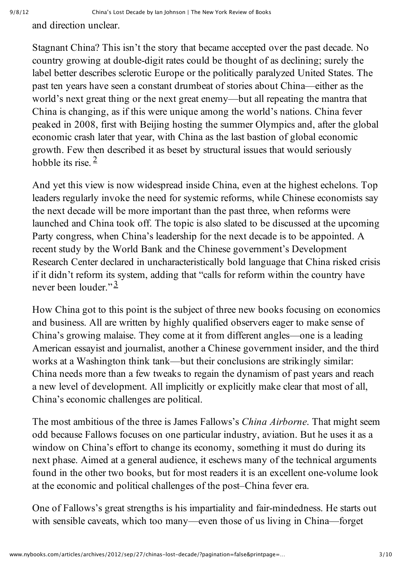and direction unclear.

Stagnant China? This isn't the story that became accepted over the past decade. No country growing at double-digit rates could be thought of as declining; surely the label better describes sclerotic Europe or the politically paralyzed United States. The past ten years have seen a constant drumbeat of stories about China—either as the world's next great thing or the next great enemy—but all repeating the mantra that China is changing, as if this were unique among the world's nations. China fever peaked in 2008, first with Beijing hosting the summer Olympics and, after the global economic crash later that year, with China as the last bastion of global economic growth. Few then described it as beset by structural issues that would seriously hobble its rise.  $2$ 

And yet this view is now widespread inside China, even at the highest echelons. Top leaders regularly invoke the need for systemic reforms, while Chinese economists say the next decade will be more important than the past three, when reforms were launched and China took off. The topic is also slated to be discussed at the upcoming Party congress, when China's leadership for the next decade is to be appointed. A recent study by the World Bank and the Chinese government's Development Research Center declared in uncharacteristically bold language that China risked crisis if it didn't reform its system, adding that "calls for reform within the country have never been louder."<sup>3</sup>

How China got to this point is the subject of three new books focusing on economics and business. All are written by highly qualified observers eager to make sense of China's growing malaise. They come at it from different angles—one is a leading American essayist and journalist, another a Chinese government insider, and the third works at a Washington think tank—but their conclusions are strikingly similar: China needs more than a few tweaks to regain the dynamism of past years and reach a new level of development. All implicitly or explicitly make clear that most of all, China's economic challenges are political.

The most ambitious of the three is James Fallows's *China Airborne*. That might seem odd because Fallows focuses on one particular industry, aviation. But he uses it as a window on China's effort to change its economy, something it must do during its next phase. Aimed at a general audience, it eschews many of the technical arguments found in the other two books, but for most readers it is an excellent one-volume look at the economic and political challenges of the post–China fever era.

One of Fallows's great strengths is his impartiality and fair-mindedness. He starts out with sensible caveats, which too many—even those of us living in China—forget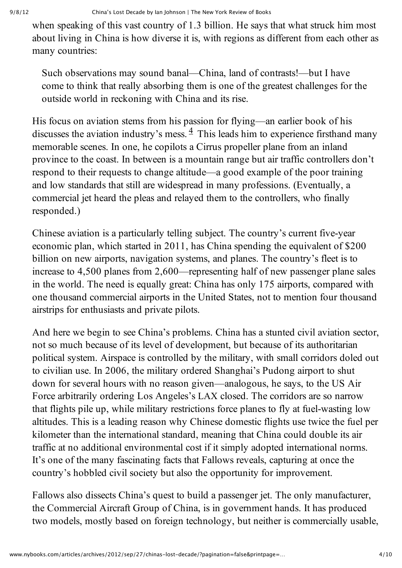when speaking of this vast country of 1.3 billion. He says that what struck him most about living in China is how diverse it is, with regions as different from each other as many countries:

Such observations may sound banal—China, land of contrasts!—but I have come to think that really absorbing them is one of the greatest challenges for the outside world in reckoning with China and its rise.

His focus on aviation stems from his passion for flying—an earlier book of his discusses the aviation industry's mess.  $\frac{4}{3}$  This leads him to experience firsthand many memorable scenes. In one, he copilots a Cirrus propeller plane from an inland province to the coast. In between is a mountain range but air traffic controllers don't respond to their requests to change altitude—a good example of the poor training and low standards that still are widespread in many professions. (Eventually, a commercial jet heard the pleas and relayed them to the controllers, who finally responded.)

Chinese aviation is a particularly telling subject. The country's current five-year economic plan, which started in 2011, has China spending the equivalent of \$200 billion on new airports, navigation systems, and planes. The country's fleet is to increase to 4,500 planes from 2,600—representing half of new passenger plane sales in the world. The need is equally great: China has only 175 airports, compared with one thousand commercial airports in the United States, not to mention four thousand airstrips for enthusiasts and private pilots.

And here we begin to see China's problems. China has a stunted civil aviation sector, not so much because of its level of development, but because of its authoritarian political system. Airspace is controlled by the military, with small corridors doled out to civilian use. In 2006, the military ordered Shanghai's Pudong airport to shut down for several hours with no reason given—analogous, he says, to the US Air Force arbitrarily ordering Los Angeles's LAX closed. The corridors are so narrow that flights pile up, while military restrictions force planes to fly at fuel-wasting low altitudes. This is a leading reason why Chinese domestic flights use twice the fuel per kilometer than the international standard, meaning that China could double its air traffic at no additional environmental cost if it simply adopted international norms. It's one of the many fascinating facts that Fallows reveals, capturing at once the country's hobbled civil society but also the opportunity for improvement.

Fallows also dissects China's quest to build a passenger jet. The only manufacturer, the Commercial Aircraft Group of China, is in government hands. It has produced two models, mostly based on foreign technology, but neither is commercially usable,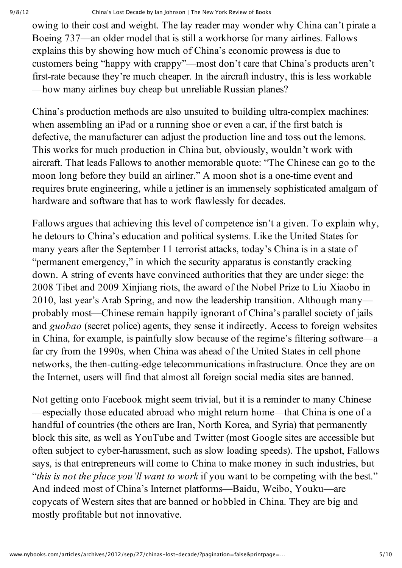owing to their cost and weight. The lay reader may wonder why China can't pirate a Boeing 737—an older model that is still a workhorse for many airlines. Fallows explains this by showing how much of China's economic prowess is due to customers being "happy with crappy"—most don't care that China's products aren't first-rate because they're much cheaper. In the aircraft industry, this is less workable —how many airlines buy cheap but unreliable Russian planes?

China's production methods are also unsuited to building ultra-complex machines: when assembling an iPad or a running shoe or even a car, if the first batch is defective, the manufacturer can adjust the production line and toss out the lemons. This works for much production in China but, obviously, wouldn't work with aircraft. That leads Fallows to another memorable quote: "The Chinese can go to the moon long before they build an airliner." A moon shot is a one-time event and requires brute engineering, while a jetliner is an immensely sophisticated amalgam of hardware and software that has to work flawlessly for decades.

Fallows argues that achieving this level of competence isn't a given. To explain why, he detours to China's education and political systems. Like the United States for many years after the September 11 terrorist attacks, today's China is in a state of "permanent emergency," in which the security apparatus is constantly cracking down. A string of events have convinced authorities that they are under siege: the 2008 Tibet and 2009 Xinjiang riots, the award of the Nobel Prize to Liu Xiaobo in 2010, last year's Arab Spring, and now the leadership transition. Although many probably most—Chinese remain happily ignorant of China's parallel society of jails and *guobao* (secret police) agents, they sense it indirectly. Access to foreign websites in China, for example, is painfully slow because of the regime's filtering software—a far cry from the 1990s, when China was ahead of the United States in cell phone networks, the then-cutting-edge telecommunications infrastructure. Once they are on the Internet, users will find that almost all foreign social media sites are banned.

Not getting onto Facebook might seem trivial, but it is a reminder to many Chinese —especially those educated abroad who might return home—that China is one of a handful of countries (the others are Iran, North Korea, and Syria) that permanently block this site, as well as YouTube and Twitter (most Google sites are accessible but often subject to cyberharassment, such as slow loading speeds). The upshot, Fallows says, is that entrepreneurs will come to China to make money in such industries, but "*this is not the place you'll want to work* if you want to be competing with the best." And indeed most of China's Internet platforms—Baidu, Weibo, Youku—are copycats of Western sites that are banned or hobbled in China. They are big and mostly profitable but not innovative.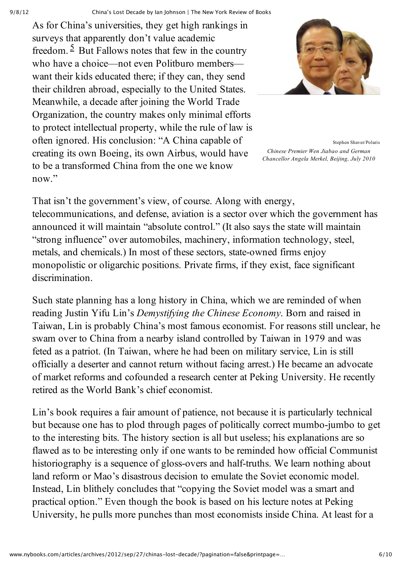9/8/12 China's Lost Decade by Ian Johnson | The New York Review of Books

As for China's universities, they get high rankings in surveys that apparently don't value academic freedom.  $\frac{5}{5}$  But Fallows notes that few in the country who have a choice—not even Politburo members want their kids educated there; if they can, they send their children abroad, especially to the United States. Meanwhile, a decade after joining the World Trade Organization, the country makes only minimal efforts to protect intellectual property, while the rule of law is often ignored. His conclusion: "A China capable of creating its own Boeing, its own Airbus, would have to be a transformed China from the one we know now."



Stephen Shaver/Polaris *Chinese Premier Wen Jiabao and German Chancellor Angela Merkel, Beijing, July 2010*

That isn't the government's view, of course. Along with energy, telecommunications, and defense, aviation is a sector over which the government has announced it will maintain "absolute control." (It also says the state will maintain "strong influence" over automobiles, machinery, information technology, steel, metals, and chemicals.) In most of these sectors, state-owned firms enjoy monopolistic or oligarchic positions. Private firms, if they exist, face significant discrimination.

Such state planning has a long history in China, which we are reminded of when reading Justin Yifu Lin's *Demystifying the Chinese Economy*. Born and raised in Taiwan, Lin is probably China's most famous economist. For reasons still unclear, he swam over to China from a nearby island controlled by Taiwan in 1979 and was feted as a patriot. (In Taiwan, where he had been on military service, Lin is still officially a deserter and cannot return without facing arrest.) He became an advocate of market reforms and cofounded a research center at Peking University. He recently retired as the World Bank's chief economist.

Lin's book requires a fair amount of patience, not because it is particularly technical but because one has to plod through pages of politically correct mumbo-jumbo to get to the interesting bits. The history section is all but useless; his explanations are so flawed as to be interesting only if one wants to be reminded how official Communist historiography is a sequence of gloss-overs and half-truths. We learn nothing about land reform or Mao's disastrous decision to emulate the Soviet economic model. Instead, Lin blithely concludes that "copying the Soviet model was a smart and practical option." Even though the book is based on his lecture notes at Peking University, he pulls more punches than most economists inside China. At least for a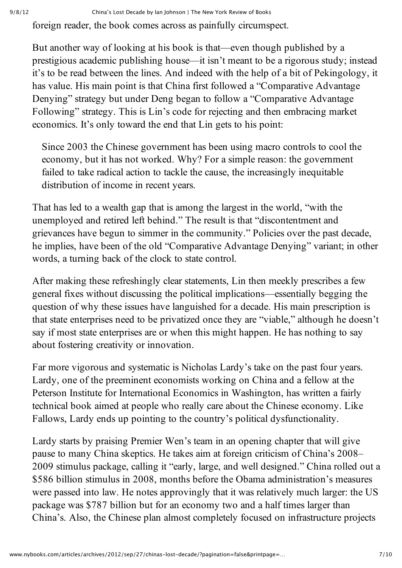foreign reader, the book comes across as painfully circumspect.

But another way of looking at his book is that—even though published by a prestigious academic publishing house—it isn't meant to be a rigorous study; instead it's to be read between the lines. And indeed with the help of a bit of Pekingology, it has value. His main point is that China first followed a "Comparative Advantage Denying" strategy but under Deng began to follow a "Comparative Advantage Following" strategy. This is Lin's code for rejecting and then embracing market economics. It's only toward the end that Lin gets to his point:

Since 2003 the Chinese government has been using macro controls to cool the economy, but it has not worked. Why? For a simple reason: the government failed to take radical action to tackle the cause, the increasingly inequitable distribution of income in recent years.

That has led to a wealth gap that is among the largest in the world, "with the unemployed and retired left behind." The result is that "discontentment and grievances have begun to simmer in the community." Policies over the past decade, he implies, have been of the old "Comparative Advantage Denying" variant; in other words, a turning back of the clock to state control.

After making these refreshingly clear statements, Lin then meekly prescribes a few general fixes without discussing the political implications—essentially begging the question of why these issues have languished for a decade. His main prescription is that state enterprises need to be privatized once they are "viable," although he doesn't say if most state enterprises are or when this might happen. He has nothing to say about fostering creativity or innovation.

Far more vigorous and systematic is Nicholas Lardy's take on the past four years. Lardy, one of the preeminent economists working on China and a fellow at the Peterson Institute for International Economics in Washington, has written a fairly technical book aimed at people who really care about the Chinese economy. Like Fallows, Lardy ends up pointing to the country's political dysfunctionality.

Lardy starts by praising Premier Wen's team in an opening chapter that will give pause to many China skeptics. He takes aim at foreign criticism of China's 2008– 2009 stimulus package, calling it "early, large, and well designed." China rolled out a \$586 billion stimulus in 2008, months before the Obama administration's measures were passed into law. He notes approvingly that it was relatively much larger: the US package was \$787 billion but for an economy two and a half times larger than China's. Also, the Chinese plan almost completely focused on infrastructure projects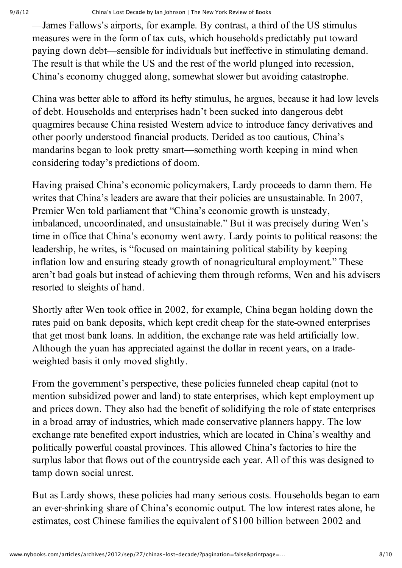—James Fallows's airports, for example. By contrast, a third of the US stimulus measures were in the form of tax cuts, which households predictably put toward paying down debt—sensible for individuals but ineffective in stimulating demand. The result is that while the US and the rest of the world plunged into recession, China's economy chugged along, somewhat slower but avoiding catastrophe.

China was better able to afford its hefty stimulus, he argues, because it had low levels of debt. Households and enterprises hadn't been sucked into dangerous debt quagmires because China resisted Western advice to introduce fancy derivatives and other poorly understood financial products. Derided as too cautious, China's mandarins began to look pretty smart—something worth keeping in mind when considering today's predictions of doom.

Having praised China's economic policymakers, Lardy proceeds to damn them. He writes that China's leaders are aware that their policies are unsustainable. In 2007, Premier Wen told parliament that "China's economic growth is unsteady, imbalanced, uncoordinated, and unsustainable." But it was precisely during Wen's time in office that China's economy went awry. Lardy points to political reasons: the leadership, he writes, is "focused on maintaining political stability by keeping inflation low and ensuring steady growth of nonagricultural employment." These aren't bad goals but instead of achieving them through reforms, Wen and his advisers resorted to sleights of hand.

Shortly after Wen took office in 2002, for example, China began holding down the rates paid on bank deposits, which kept credit cheap for the state-owned enterprises that get most bank loans. In addition, the exchange rate was held artificially low. Although the yuan has appreciated against the dollar in recent years, on a tradeweighted basis it only moved slightly.

From the government's perspective, these policies funneled cheap capital (not to mention subsidized power and land) to state enterprises, which kept employment up and prices down. They also had the benefit of solidifying the role of state enterprises in a broad array of industries, which made conservative planners happy. The low exchange rate benefited export industries, which are located in China's wealthy and politically powerful coastal provinces. This allowed China's factories to hire the surplus labor that flows out of the countryside each year. All of this was designed to tamp down social unrest.

But as Lardy shows, these policies had many serious costs. Households began to earn an evershrinking share of China's economic output. The low interest rates alone, he estimates, cost Chinese families the equivalent of \$100 billion between 2002 and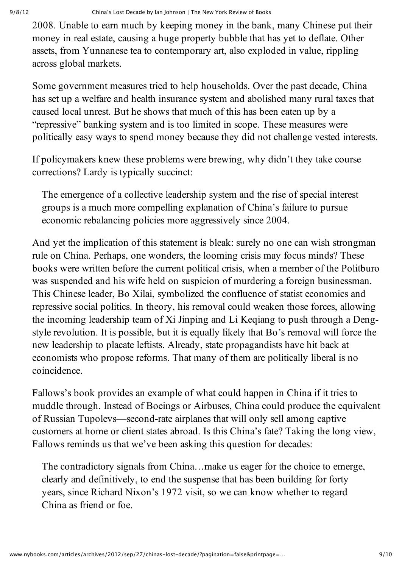2008. Unable to earn much by keeping money in the bank, many Chinese put their money in real estate, causing a huge property bubble that has yet to deflate. Other assets, from Yunnanese tea to contemporary art, also exploded in value, rippling across global markets.

Some government measures tried to help households. Over the past decade, China has set up a welfare and health insurance system and abolished many rural taxes that caused local unrest. But he shows that much of this has been eaten up by a "repressive" banking system and is too limited in scope. These measures were politically easy ways to spend money because they did not challenge vested interests.

If policymakers knew these problems were brewing, why didn't they take course corrections? Lardy is typically succinct:

The emergence of a collective leadership system and the rise of special interest groups is a much more compelling explanation of China's failure to pursue economic rebalancing policies more aggressively since 2004.

And yet the implication of this statement is bleak: surely no one can wish strongman rule on China. Perhaps, one wonders, the looming crisis may focus minds? These books were written before the current political crisis, when a member of the Politburo was suspended and his wife held on suspicion of murdering a foreign businessman. This Chinese leader, Bo Xilai, symbolized the confluence of statist economics and repressive social politics. In theory, his removal could weaken those forces, allowing the incoming leadership team of Xi Jinping and Li Keqiang to push through a Dengstyle revolution. It is possible, but it is equally likely that Bo's removal will force the new leadership to placate leftists. Already, state propagandists have hit back at economists who propose reforms. That many of them are politically liberal is no coincidence.

Fallows's book provides an example of what could happen in China if it tries to muddle through. Instead of Boeings or Airbuses, China could produce the equivalent of Russian Tupolevs—second-rate airplanes that will only sell among captive customers at home or client states abroad. Is this China's fate? Taking the long view, Fallows reminds us that we've been asking this question for decades:

The contradictory signals from China…make us eager for the choice to emerge, clearly and definitively, to end the suspense that has been building for forty years, since Richard Nixon's 1972 visit, so we can know whether to regard China as friend or foe.